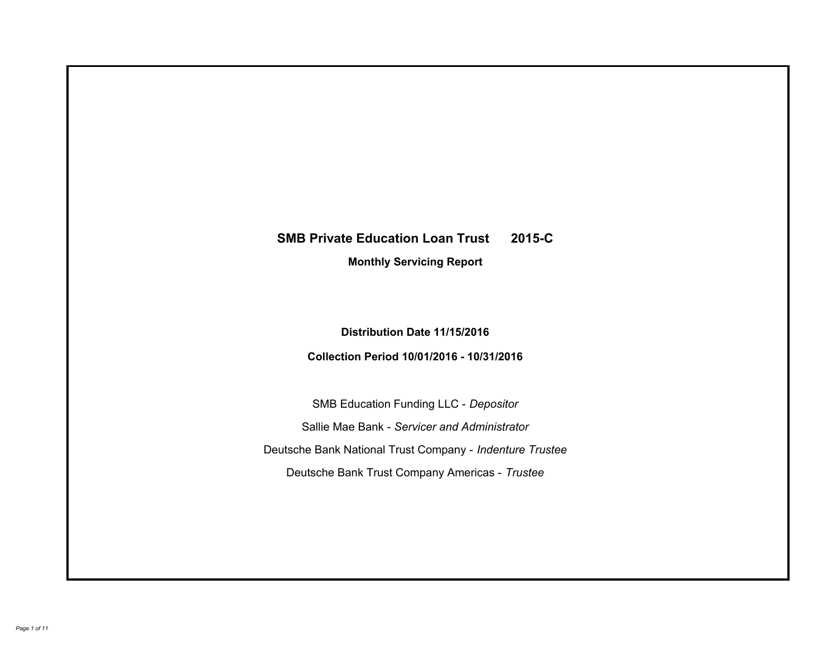# **SMB Private Education Loan Trust 2015-C Monthly Servicing Report**

## **Distribution Date 11/15/2016**

## **Collection Period 10/01/2016 - 10/31/2016**

SMB Education Funding LLC - *Depositor* Sallie Mae Bank - *Servicer and Administrator* Deutsche Bank National Trust Company - *Indenture Trustee* Deutsche Bank Trust Company Americas - *Trustee*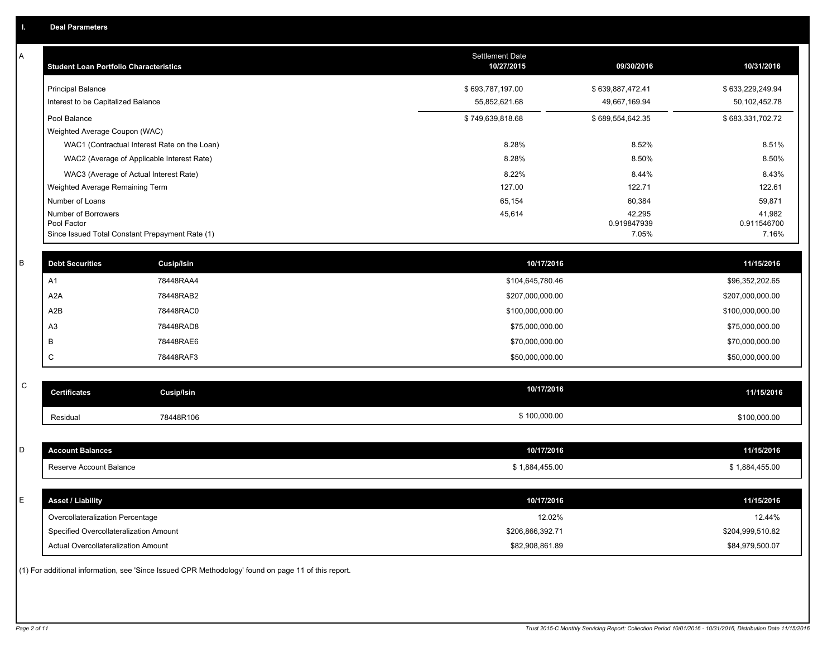| A           | <b>Student Loan Portfolio Characteristics</b> |                                                                                                     | Settlement Date<br>10/27/2015 | 09/30/2016           | 10/31/2016           |
|-------------|-----------------------------------------------|-----------------------------------------------------------------------------------------------------|-------------------------------|----------------------|----------------------|
|             | <b>Principal Balance</b>                      |                                                                                                     | \$693,787,197.00              | \$639,887,472.41     | \$633,229,249.94     |
|             | Interest to be Capitalized Balance            |                                                                                                     | 55,852,621.68                 | 49,667,169.94        | 50,102,452.78        |
|             | Pool Balance                                  |                                                                                                     | \$749,639,818.68              | \$689,554,642.35     | \$683,331,702.72     |
|             | Weighted Average Coupon (WAC)                 |                                                                                                     |                               |                      |                      |
|             |                                               | WAC1 (Contractual Interest Rate on the Loan)                                                        | 8.28%                         | 8.52%                | 8.51%                |
|             |                                               | WAC2 (Average of Applicable Interest Rate)                                                          | 8.28%                         | 8.50%                | 8.50%                |
|             |                                               | WAC3 (Average of Actual Interest Rate)                                                              | 8.22%                         | 8.44%                | 8.43%                |
|             | Weighted Average Remaining Term               |                                                                                                     | 127.00                        | 122.71               | 122.61               |
|             | Number of Loans                               |                                                                                                     | 65,154                        | 60,384               | 59,871               |
|             | Number of Borrowers                           |                                                                                                     | 45,614                        | 42,295               | 41,982               |
|             | Pool Factor                                   | Since Issued Total Constant Prepayment Rate (1)                                                     |                               | 0.919847939<br>7.05% | 0.911546700<br>7.16% |
|             |                                               |                                                                                                     |                               |                      |                      |
| $\mathsf B$ | <b>Debt Securities</b>                        | <b>Cusip/Isin</b>                                                                                   | 10/17/2016                    |                      | 11/15/2016           |
|             | A1                                            | 78448RAA4                                                                                           | \$104,645,780.46              |                      | \$96,352,202.65      |
|             | A <sub>2</sub> A                              | 78448RAB2                                                                                           | \$207,000,000.00              |                      | \$207,000,000.00     |
|             | A2B                                           | 78448RAC0                                                                                           | \$100,000,000.00              |                      | \$100,000,000.00     |
|             | A <sub>3</sub>                                | 78448RAD8                                                                                           | \$75,000,000.00               |                      | \$75,000,000.00      |
|             | B                                             | 78448RAE6                                                                                           | \$70,000,000.00               |                      | \$70,000,000.00      |
|             | $\mathsf C$                                   | 78448RAF3                                                                                           | \$50,000,000.00               |                      | \$50,000,000.00      |
|             |                                               |                                                                                                     |                               |                      |                      |
| ${\bf C}$   | <b>Certificates</b>                           | Cusip/Isin                                                                                          | 10/17/2016                    |                      | 11/15/2016           |
|             | Residual                                      | 78448R106                                                                                           | \$100,000.00                  |                      | \$100,000.00         |
|             |                                               |                                                                                                     |                               |                      |                      |
| D           | <b>Account Balances</b>                       |                                                                                                     | 10/17/2016                    |                      | 11/15/2016           |
|             | Reserve Account Balance                       |                                                                                                     | \$1,884,455.00                |                      | \$1,884,455.00       |
|             |                                               |                                                                                                     |                               |                      |                      |
| E           | <b>Asset / Liability</b>                      |                                                                                                     | 10/17/2016                    |                      | 11/15/2016           |
|             | Overcollateralization Percentage              |                                                                                                     | 12.02%                        |                      | 12.44%               |
|             | Specified Overcollateralization Amount        |                                                                                                     | \$206,866,392.71              |                      | \$204,999,510.82     |
|             | Actual Overcollateralization Amount           |                                                                                                     | \$82,908,861.89               |                      | \$84,979,500.07      |
|             |                                               | (1) For additional information, see 'Since Issued CPR Methodology' found on page 11 of this report. |                               |                      |                      |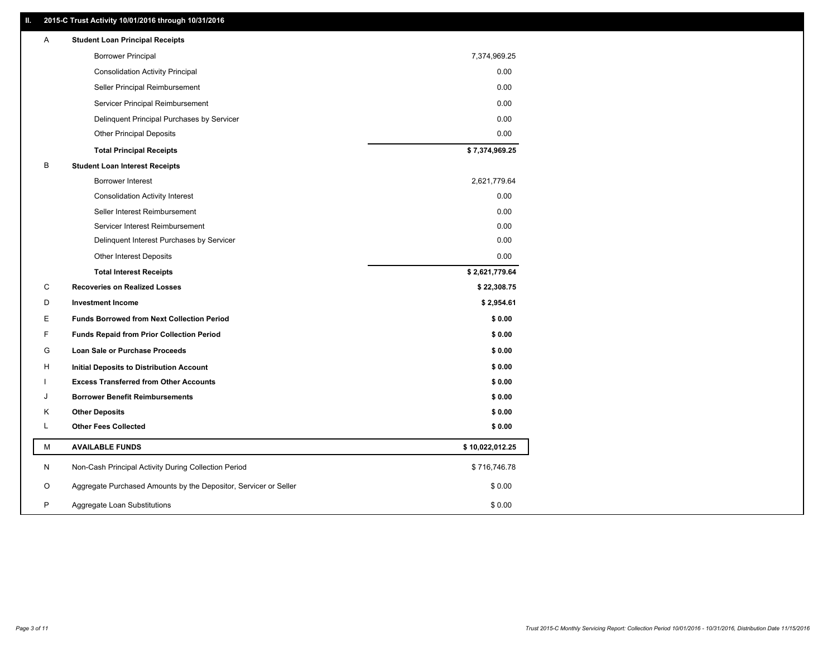### **II. 2015-C Trust Activity 10/01/2016 through 10/31/2016**

| Α | <b>Student Loan Principal Receipts</b>                           |                 |  |
|---|------------------------------------------------------------------|-----------------|--|
|   | <b>Borrower Principal</b>                                        | 7,374,969.25    |  |
|   | <b>Consolidation Activity Principal</b>                          | 0.00            |  |
|   | Seller Principal Reimbursement                                   | 0.00            |  |
|   | Servicer Principal Reimbursement                                 | 0.00            |  |
|   | Delinquent Principal Purchases by Servicer                       | 0.00            |  |
|   | <b>Other Principal Deposits</b>                                  | 0.00            |  |
|   | <b>Total Principal Receipts</b>                                  | \$7,374,969.25  |  |
| в | <b>Student Loan Interest Receipts</b>                            |                 |  |
|   | Borrower Interest                                                | 2,621,779.64    |  |
|   | <b>Consolidation Activity Interest</b>                           | 0.00            |  |
|   | Seller Interest Reimbursement                                    | 0.00            |  |
|   | Servicer Interest Reimbursement                                  | 0.00            |  |
|   | Delinquent Interest Purchases by Servicer                        | 0.00            |  |
|   | <b>Other Interest Deposits</b>                                   | 0.00            |  |
|   | <b>Total Interest Receipts</b>                                   | \$2,621,779.64  |  |
| C | <b>Recoveries on Realized Losses</b>                             | \$22,308.75     |  |
| D | <b>Investment Income</b>                                         | \$2,954.61      |  |
| Е | <b>Funds Borrowed from Next Collection Period</b>                | \$0.00          |  |
| F | <b>Funds Repaid from Prior Collection Period</b>                 | \$0.00          |  |
| G | Loan Sale or Purchase Proceeds                                   | \$0.00          |  |
| н | Initial Deposits to Distribution Account                         | \$0.00          |  |
|   | <b>Excess Transferred from Other Accounts</b>                    | \$0.00          |  |
| J | <b>Borrower Benefit Reimbursements</b>                           | \$0.00          |  |
| Κ | <b>Other Deposits</b>                                            | \$0.00          |  |
| Г | <b>Other Fees Collected</b>                                      | \$0.00          |  |
| м | <b>AVAILABLE FUNDS</b>                                           | \$10,022,012.25 |  |
| N | Non-Cash Principal Activity During Collection Period             | \$716,746.78    |  |
| O | Aggregate Purchased Amounts by the Depositor, Servicer or Seller | \$0.00          |  |
| P | Aggregate Loan Substitutions                                     | \$0.00          |  |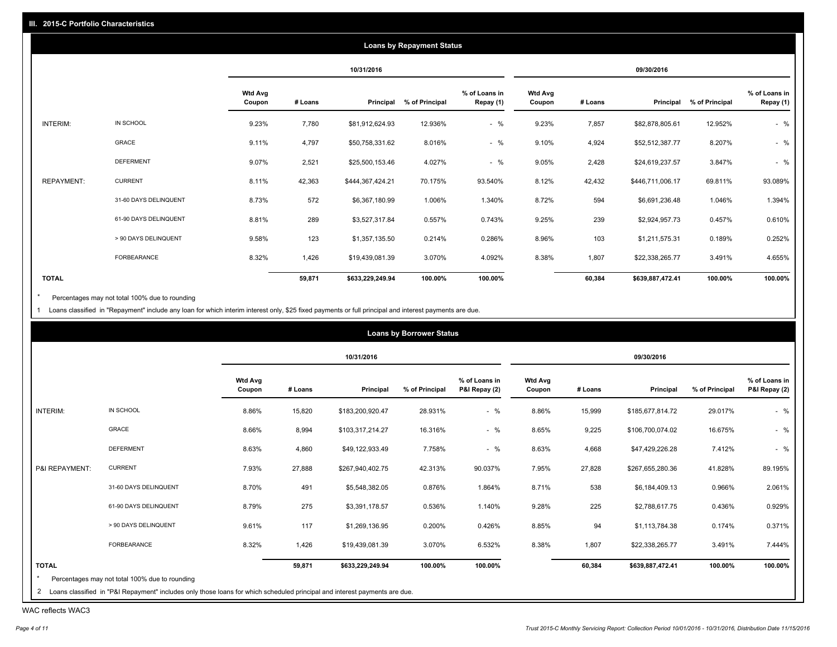|                   |                       |                          |         |                  | <b>Loans by Repayment Status</b> |                            |                          |         |                  |                |                            |
|-------------------|-----------------------|--------------------------|---------|------------------|----------------------------------|----------------------------|--------------------------|---------|------------------|----------------|----------------------------|
|                   |                       |                          |         | 10/31/2016       |                                  |                            |                          |         | 09/30/2016       |                |                            |
|                   |                       | <b>Wtd Avg</b><br>Coupon | # Loans | Principal        | % of Principal                   | % of Loans in<br>Repay (1) | <b>Wtd Avg</b><br>Coupon | # Loans | Principal        | % of Principal | % of Loans in<br>Repay (1) |
| INTERIM:          | IN SCHOOL             | 9.23%                    | 7,780   | \$81,912,624.93  | 12.936%                          | $-$ %                      | 9.23%                    | 7,857   | \$82,878,805.61  | 12.952%        | $-$ %                      |
|                   | GRACE                 | 9.11%                    | 4,797   | \$50,758,331.62  | 8.016%                           | $-$ %                      | 9.10%                    | 4,924   | \$52,512,387.77  | 8.207%         | $-$ %                      |
|                   | <b>DEFERMENT</b>      | 9.07%                    | 2,521   | \$25,500,153.46  | 4.027%                           | $-$ %                      | 9.05%                    | 2,428   | \$24,619,237.57  | 3.847%         | $-$ %                      |
| <b>REPAYMENT:</b> | <b>CURRENT</b>        | 8.11%                    | 42,363  | \$444,367,424.21 | 70.175%                          | 93.540%                    | 8.12%                    | 42,432  | \$446,711,006.17 | 69.811%        | 93.089%                    |
|                   | 31-60 DAYS DELINQUENT | 8.73%                    | 572     | \$6,367,180.99   | 1.006%                           | 1.340%                     | 8.72%                    | 594     | \$6,691,236.48   | 1.046%         | 1.394%                     |
|                   | 61-90 DAYS DELINQUENT | 8.81%                    | 289     | \$3,527,317.84   | 0.557%                           | 0.743%                     | 9.25%                    | 239     | \$2,924,957.73   | 0.457%         | 0.610%                     |
|                   | > 90 DAYS DELINQUENT  | 9.58%                    | 123     | \$1,357,135.50   | 0.214%                           | 0.286%                     | 8.96%                    | 103     | \$1,211,575.31   | 0.189%         | 0.252%                     |
|                   | <b>FORBEARANCE</b>    | 8.32%                    | 1,426   | \$19,439,081.39  | 3.070%                           | 4.092%                     | 8.38%                    | 1,807   | \$22,338,265.77  | 3.491%         | 4.655%                     |
| <b>TOTAL</b>      |                       |                          | 59,871  | \$633,229,249.94 | 100.00%                          | 100.00%                    |                          | 60,384  | \$639,887,472.41 | 100.00%        | 100.00%                    |

Percentages may not total 100% due to rounding  $^\star$ 

1 Loans classified in "Repayment" include any loan for which interim interest only, \$25 fixed payments or full principal and interest payments are due.

|                |                                                                                                                              |                          |         |                  | <b>Loans by Borrower Status</b> |                                |                          |         |                  |                |                                |
|----------------|------------------------------------------------------------------------------------------------------------------------------|--------------------------|---------|------------------|---------------------------------|--------------------------------|--------------------------|---------|------------------|----------------|--------------------------------|
|                |                                                                                                                              |                          |         | 10/31/2016       |                                 |                                |                          |         | 09/30/2016       |                |                                |
|                |                                                                                                                              | <b>Wtd Avg</b><br>Coupon | # Loans | Principal        | % of Principal                  | % of Loans in<br>P&I Repay (2) | <b>Wtd Avg</b><br>Coupon | # Loans | Principal        | % of Principal | % of Loans in<br>P&I Repay (2) |
| INTERIM:       | IN SCHOOL                                                                                                                    | 8.86%                    | 15,820  | \$183,200,920.47 | 28.931%                         | $-$ %                          | 8.86%                    | 15,999  | \$185,677,814.72 | 29.017%        | $-$ %                          |
|                | <b>GRACE</b>                                                                                                                 | 8.66%                    | 8,994   | \$103,317,214.27 | 16.316%                         | $-$ %                          | 8.65%                    | 9,225   | \$106,700,074.02 | 16.675%        | $-$ %                          |
|                | <b>DEFERMENT</b>                                                                                                             | 8.63%                    | 4,860   | \$49,122,933.49  | 7.758%                          | $-$ %                          | 8.63%                    | 4,668   | \$47,429,226.28  | 7.412%         | $-$ %                          |
| P&I REPAYMENT: | <b>CURRENT</b>                                                                                                               | 7.93%                    | 27,888  | \$267,940,402.75 | 42.313%                         | 90.037%                        | 7.95%                    | 27,828  | \$267,655,280.36 | 41.828%        | 89.195%                        |
|                | 31-60 DAYS DELINQUENT                                                                                                        | 8.70%                    | 491     | \$5,548,382.05   | 0.876%                          | 1.864%                         | 8.71%                    | 538     | \$6,184,409.13   | 0.966%         | 2.061%                         |
|                | 61-90 DAYS DELINQUENT                                                                                                        | 8.79%                    | 275     | \$3,391,178.57   | 0.536%                          | 1.140%                         | 9.28%                    | 225     | \$2,788,617.75   | 0.436%         | 0.929%                         |
|                | > 90 DAYS DELINQUENT                                                                                                         | 9.61%                    | 117     | \$1,269,136.95   | 0.200%                          | 0.426%                         | 8.85%                    | 94      | \$1,113,784.38   | 0.174%         | 0.371%                         |
|                | FORBEARANCE                                                                                                                  | 8.32%                    | 1,426   | \$19,439,081.39  | 3.070%                          | 6.532%                         | 8.38%                    | 1,807   | \$22,338,265.77  | 3.491%         | 7.444%                         |
| <b>TOTAL</b>   |                                                                                                                              |                          | 59,871  | \$633,229,249.94 | 100.00%                         | 100.00%                        |                          | 60,384  | \$639,887,472.41 | 100.00%        | 100.00%                        |
|                | Percentages may not total 100% due to rounding                                                                               |                          |         |                  |                                 |                                |                          |         |                  |                |                                |
|                | 2 Loans classified in "P&I Repayment" includes only those loans for which scheduled principal and interest payments are due. |                          |         |                  |                                 |                                |                          |         |                  |                |                                |

WAC reflects WAC3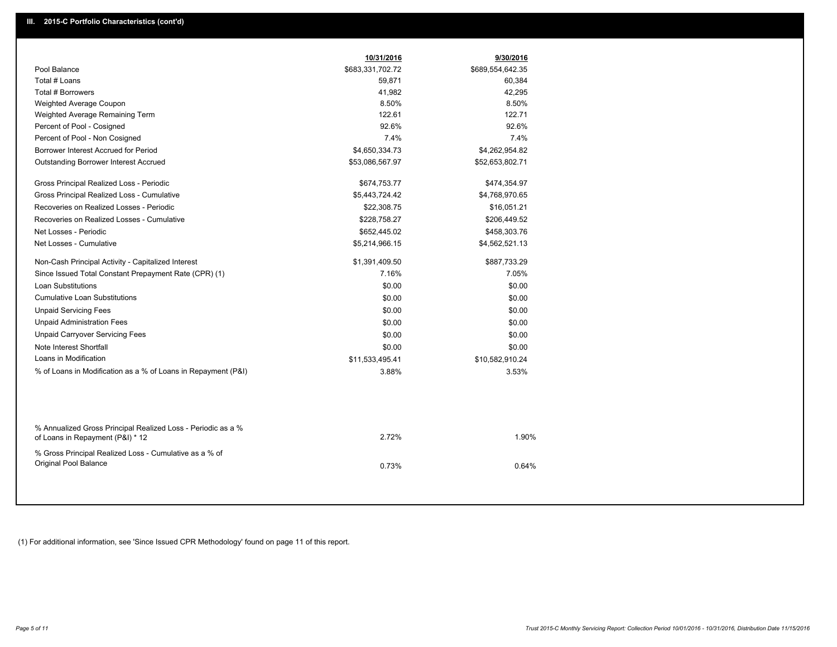|                                                                                                  | 10/31/2016       | 9/30/2016        |
|--------------------------------------------------------------------------------------------------|------------------|------------------|
| Pool Balance                                                                                     | \$683,331,702.72 | \$689,554,642.35 |
| Total # Loans                                                                                    | 59,871           | 60,384           |
| Total # Borrowers                                                                                | 41,982           | 42,295           |
| Weighted Average Coupon                                                                          | 8.50%            | 8.50%            |
| Weighted Average Remaining Term                                                                  | 122.61           | 122.71           |
| Percent of Pool - Cosigned                                                                       | 92.6%            | 92.6%            |
| Percent of Pool - Non Cosigned                                                                   | 7.4%             | 7.4%             |
| Borrower Interest Accrued for Period                                                             | \$4,650,334.73   | \$4,262,954.82   |
| Outstanding Borrower Interest Accrued                                                            | \$53,086,567.97  | \$52,653,802.71  |
| Gross Principal Realized Loss - Periodic                                                         | \$674,753.77     | \$474,354.97     |
| Gross Principal Realized Loss - Cumulative                                                       | \$5,443,724.42   | \$4,768,970.65   |
| Recoveries on Realized Losses - Periodic                                                         | \$22,308.75      | \$16,051.21      |
| Recoveries on Realized Losses - Cumulative                                                       | \$228,758.27     | \$206,449.52     |
| Net Losses - Periodic                                                                            | \$652,445.02     | \$458,303.76     |
| Net Losses - Cumulative                                                                          | \$5,214,966.15   | \$4,562,521.13   |
| Non-Cash Principal Activity - Capitalized Interest                                               | \$1,391,409.50   | \$887,733.29     |
| Since Issued Total Constant Prepayment Rate (CPR) (1)                                            | 7.16%            | 7.05%            |
| <b>Loan Substitutions</b>                                                                        | \$0.00           | \$0.00           |
| <b>Cumulative Loan Substitutions</b>                                                             | \$0.00           | \$0.00           |
| <b>Unpaid Servicing Fees</b>                                                                     | \$0.00           | \$0.00           |
| <b>Unpaid Administration Fees</b>                                                                | \$0.00           | \$0.00           |
| <b>Unpaid Carryover Servicing Fees</b>                                                           | \$0.00           | \$0.00           |
| Note Interest Shortfall                                                                          | \$0.00           | \$0.00           |
| Loans in Modification                                                                            | \$11,533,495.41  | \$10,582,910.24  |
| % of Loans in Modification as a % of Loans in Repayment (P&I)                                    | 3.88%            | 3.53%            |
|                                                                                                  |                  |                  |
| % Annualized Gross Principal Realized Loss - Periodic as a %<br>of Loans in Repayment (P&I) * 12 | 2.72%            | 1.90%            |
| % Gross Principal Realized Loss - Cumulative as a % of<br>Original Pool Balance                  | 0.73%            | 0.64%            |

(1) For additional information, see 'Since Issued CPR Methodology' found on page 11 of this report.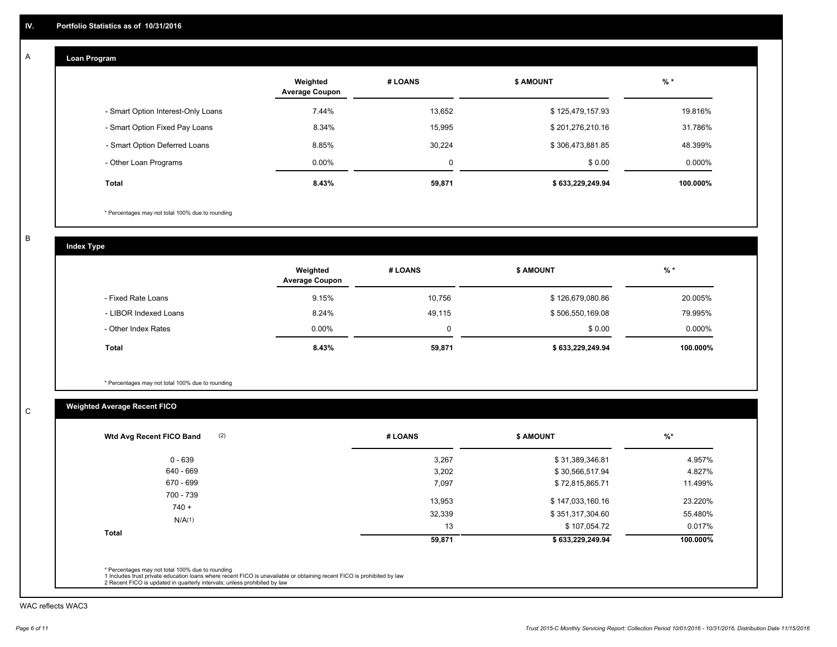#### **Loan Program**  A

|                                    | Weighted<br><b>Average Coupon</b> | # LOANS | <b>\$ AMOUNT</b> | $%$ *     |
|------------------------------------|-----------------------------------|---------|------------------|-----------|
| - Smart Option Interest-Only Loans | 7.44%                             | 13,652  | \$125,479,157.93 | 19.816%   |
| - Smart Option Fixed Pay Loans     | 8.34%                             | 15,995  | \$201,276,210.16 | 31.786%   |
| - Smart Option Deferred Loans      | 8.85%                             | 30,224  | \$306,473,881.85 | 48.399%   |
| - Other Loan Programs              | $0.00\%$                          | 0       | \$0.00           | $0.000\%$ |
| <b>Total</b>                       | 8.43%                             | 59,871  | \$633,229,249.94 | 100.000%  |

\* Percentages may not total 100% due to rounding

B

C

**Index Type**

|                       | Weighted<br><b>Average Coupon</b> | # LOANS | <b>\$ AMOUNT</b> | % *       |
|-----------------------|-----------------------------------|---------|------------------|-----------|
| - Fixed Rate Loans    | 9.15%                             | 10,756  | \$126,679,080.86 | 20.005%   |
| - LIBOR Indexed Loans | 8.24%                             | 49,115  | \$506,550,169.08 | 79.995%   |
| - Other Index Rates   | $0.00\%$                          | 0       | \$0.00           | $0.000\%$ |
| Total                 | 8.43%                             | 59,871  | \$633,229,249.94 | 100.000%  |

\* Percentages may not total 100% due to rounding

## **Weighted Average Recent FICO**

| (2)<br>Wtd Avg Recent FICO Band | # LOANS      | <b>\$ AMOUNT</b>                 | $%$ *             |
|---------------------------------|--------------|----------------------------------|-------------------|
| 0 - 639                         | 3,267        | \$31,389,346.81                  | 4.957%            |
| 640 - 669                       | 3,202        | \$30,566,517.94                  | 4.827%            |
| 670 - 699                       | 7,097        | \$72,815,865.71                  | 11.499%           |
| 700 - 739<br>$740 +$            | 13,953       | \$147,033,160.16                 | 23.220%           |
| N/A(1)                          | 32,339<br>13 | \$351,317,304.60<br>\$107,054.72 | 55.480%<br>0.017% |
| <b>Total</b>                    | 59,871       | \$633,229,249.94                 | 100.000%          |

WAC reflects WAC3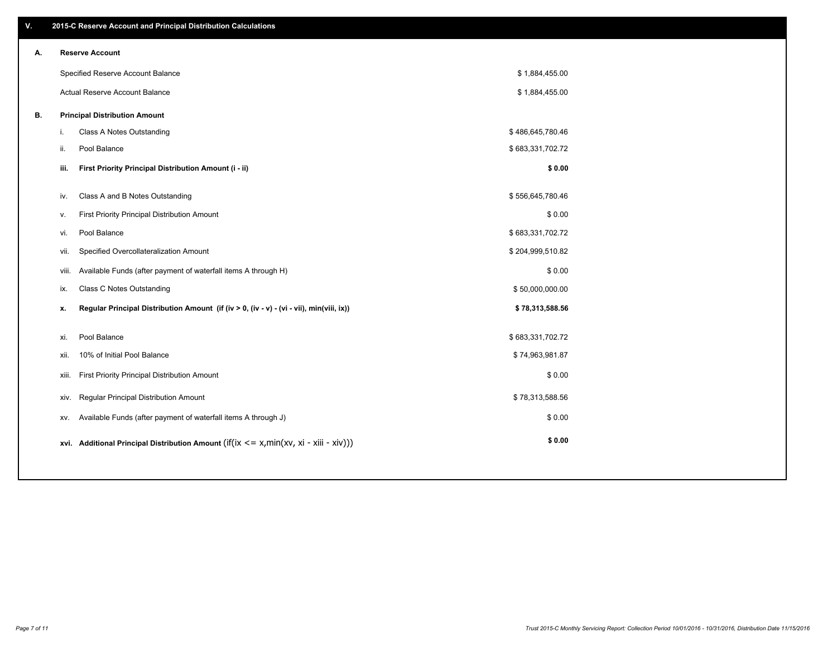| ۷. |       | 2015-C Reserve Account and Principal Distribution Calculations                             |                  |  |
|----|-------|--------------------------------------------------------------------------------------------|------------------|--|
| А. |       | <b>Reserve Account</b>                                                                     |                  |  |
|    |       | Specified Reserve Account Balance                                                          | \$1,884,455.00   |  |
|    |       | Actual Reserve Account Balance                                                             | \$1,884,455.00   |  |
| В. |       | <b>Principal Distribution Amount</b>                                                       |                  |  |
|    | i.    | Class A Notes Outstanding                                                                  | \$486,645,780.46 |  |
|    | ii.   | Pool Balance                                                                               | \$683,331,702.72 |  |
|    | iii.  | First Priority Principal Distribution Amount (i - ii)                                      | \$0.00           |  |
|    |       |                                                                                            |                  |  |
|    | iv.   | Class A and B Notes Outstanding                                                            | \$556,645,780.46 |  |
|    | v.    | First Priority Principal Distribution Amount                                               | \$0.00           |  |
|    | vi.   | Pool Balance                                                                               | \$683,331,702.72 |  |
|    | vii.  | Specified Overcollateralization Amount                                                     | \$204,999,510.82 |  |
|    | viii. | Available Funds (after payment of waterfall items A through H)                             | \$0.00           |  |
|    | ix.   | Class C Notes Outstanding                                                                  | \$50,000,000.00  |  |
|    | x.    | Regular Principal Distribution Amount (if (iv > 0, (iv - v) - (vi - vii), min(viii, ix))   | \$78,313,588.56  |  |
|    |       | Pool Balance                                                                               | \$683,331,702.72 |  |
|    | xi.   |                                                                                            |                  |  |
|    | xii.  | 10% of Initial Pool Balance                                                                | \$74,963,981.87  |  |
|    | xiii. | First Priority Principal Distribution Amount                                               | \$0.00           |  |
|    | XIV.  | Regular Principal Distribution Amount                                                      | \$78,313,588.56  |  |
|    | XV.   | Available Funds (after payment of waterfall items A through J)                             | \$0.00           |  |
|    |       | xvi. Additional Principal Distribution Amount (if(ix $\lt$ = x, min(xv, xi - xiii - xiv))) | \$0.00           |  |
|    |       |                                                                                            |                  |  |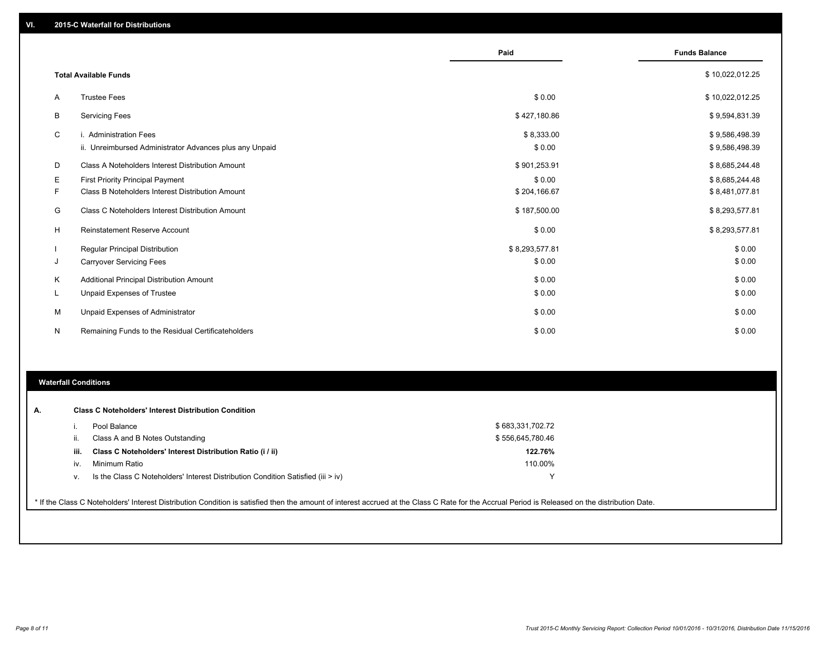|    |                                                         | Paid           | <b>Funds Balance</b> |
|----|---------------------------------------------------------|----------------|----------------------|
|    |                                                         |                |                      |
|    | <b>Total Available Funds</b>                            |                | \$10,022,012.25      |
| A  | <b>Trustee Fees</b>                                     | \$0.00         | \$10,022,012.25      |
| B  | <b>Servicing Fees</b>                                   | \$427,180.86   | \$9,594,831.39       |
| C  | i. Administration Fees                                  | \$8,333.00     | \$9,586,498.39       |
|    | ii. Unreimbursed Administrator Advances plus any Unpaid | \$0.00         | \$9,586,498.39       |
| D  | Class A Noteholders Interest Distribution Amount        | \$901,253.91   | \$8,685,244.48       |
| Е  | <b>First Priority Principal Payment</b>                 | \$0.00         | \$8,685,244.48       |
| F  | Class B Noteholders Interest Distribution Amount        | \$204,166.67   | \$8,481,077.81       |
| G  | Class C Noteholders Interest Distribution Amount        | \$187,500.00   | \$8,293,577.81       |
| н  | <b>Reinstatement Reserve Account</b>                    | \$0.00         | \$8,293,577.81       |
|    | <b>Regular Principal Distribution</b>                   | \$8,293,577.81 | \$0.00               |
| J  | <b>Carryover Servicing Fees</b>                         | \$0.00         | \$0.00               |
| K  | Additional Principal Distribution Amount                | \$0.00         | \$0.00               |
| ч. | <b>Unpaid Expenses of Trustee</b>                       | \$0.00         | \$0.00               |
| М  | Unpaid Expenses of Administrator                        | \$0.00         | \$0.00               |
| N  | Remaining Funds to the Residual Certificateholders      | \$0.00         | \$0.00               |

#### **Waterfall Conditions**

|      | Pool Balance                                                                     | \$683,331,702.72 |
|------|----------------------------------------------------------------------------------|------------------|
|      | Class A and B Notes Outstanding                                                  | \$556,645,780.46 |
| iii. | Class C Noteholders' Interest Distribution Ratio (i / ii)                        | 122.76%          |
| iv.  | Minimum Ratio                                                                    | 110.00%          |
|      | Is the Class C Noteholders' Interest Distribution Condition Satisfied (iii > iv) |                  |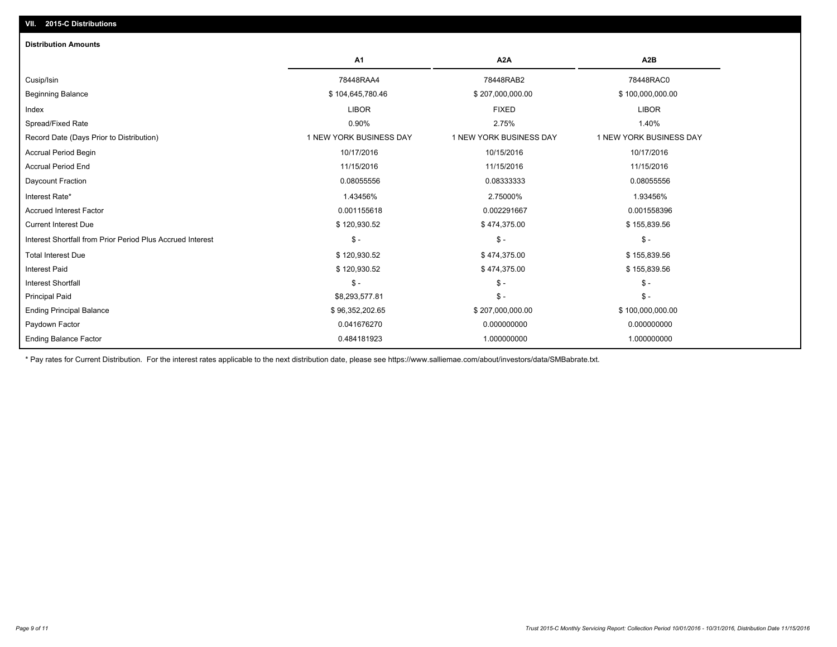| <b>Distribution Amounts</b>                                |                         |                         |                         |
|------------------------------------------------------------|-------------------------|-------------------------|-------------------------|
|                                                            | A1                      | A <sub>2</sub> A        | A <sub>2</sub> B        |
| Cusip/Isin                                                 | 78448RAA4               | 78448RAB2               | 78448RAC0               |
| <b>Beginning Balance</b>                                   | \$104,645,780.46        | \$207,000,000.00        | \$100,000,000.00        |
| Index                                                      | <b>LIBOR</b>            | <b>FIXED</b>            | <b>LIBOR</b>            |
| Spread/Fixed Rate                                          | 0.90%                   | 2.75%                   | 1.40%                   |
| Record Date (Days Prior to Distribution)                   | 1 NEW YORK BUSINESS DAY | 1 NEW YORK BUSINESS DAY | 1 NEW YORK BUSINESS DAY |
| <b>Accrual Period Begin</b>                                | 10/17/2016              | 10/15/2016              | 10/17/2016              |
| <b>Accrual Period End</b>                                  | 11/15/2016              | 11/15/2016              | 11/15/2016              |
| Daycount Fraction                                          | 0.08055556              | 0.08333333              | 0.08055556              |
| Interest Rate*                                             | 1.43456%                | 2.75000%                | 1.93456%                |
| <b>Accrued Interest Factor</b>                             | 0.001155618             | 0.002291667             | 0.001558396             |
| <b>Current Interest Due</b>                                | \$120,930.52            | \$474,375.00            | \$155,839.56            |
| Interest Shortfall from Prior Period Plus Accrued Interest | $\mathsf{\$}$ -         | $\mathsf{\$}$ -         | $\mathsf{\$}$ -         |
| <b>Total Interest Due</b>                                  | \$120,930.52            | \$474,375.00            | \$155,839.56            |
| <b>Interest Paid</b>                                       | \$120,930.52            | \$474,375.00            | \$155,839.56            |
| <b>Interest Shortfall</b>                                  | $\mathsf{\$}$ -         | $S -$                   | $$ -$                   |
| <b>Principal Paid</b>                                      | \$8,293,577.81          | $\frac{2}{3}$ -         | $\frac{2}{3}$ -         |
| <b>Ending Principal Balance</b>                            | \$96,352,202.65         | \$207,000,000.00        | \$100,000,000.00        |
| Paydown Factor                                             | 0.041676270             | 0.000000000             | 0.000000000             |
| <b>Ending Balance Factor</b>                               | 0.484181923             | 1.000000000             | 1.000000000             |

\* Pay rates for Current Distribution. For the interest rates applicable to the next distribution date, please see https://www.salliemae.com/about/investors/data/SMBabrate.txt.

**VII. 2015-C Distributions**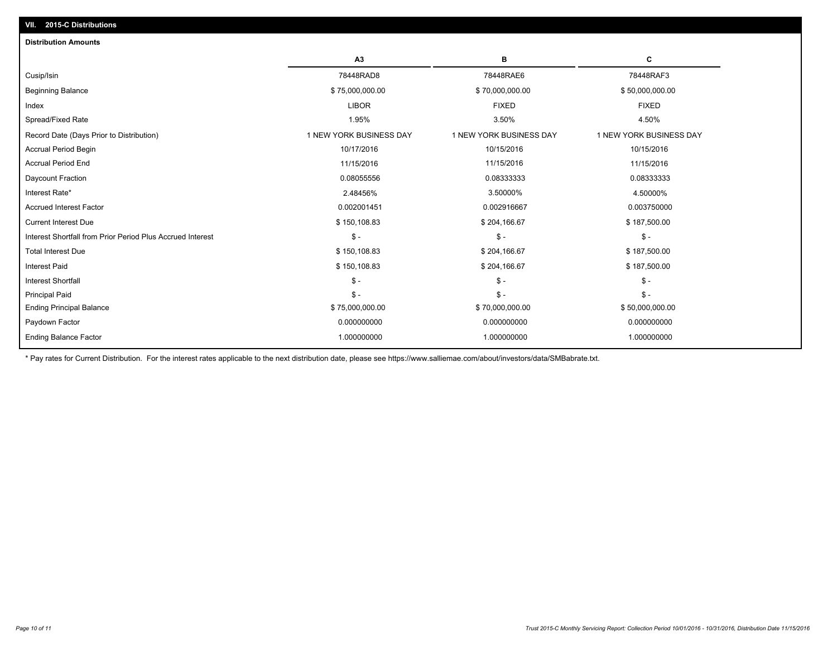| A3<br>в<br>С<br>78448RAD8<br>78448RAE6<br>78448RAF3<br>\$75,000,000.00<br>\$70,000,000.00<br>\$50,000,000.00<br><b>LIBOR</b><br><b>FIXED</b><br><b>FIXED</b><br>1.95%<br>3.50%<br>4.50%<br>1 NEW YORK BUSINESS DAY<br>1 NEW YORK BUSINESS DAY<br>1 NEW YORK BUSINESS DAY<br>10/17/2016<br>10/15/2016<br>10/15/2016<br>11/15/2016<br>11/15/2016<br>11/15/2016<br>0.08055556<br>0.08333333<br>0.08333333<br>2.48456%<br>3.50000%<br>4.50000%<br>0.002001451<br>0.002916667<br>0.003750000<br>\$150,108.83<br>\$187,500.00<br>\$204,166.67<br>$\frac{2}{3}$ -<br>$S -$<br>$\mathsf{\$}$ -<br>\$150,108.83<br>\$204,166.67<br>\$187,500.00<br>\$150,108.83<br>\$204,166.67<br>\$187,500.00<br>$\mathsf{\$}$ -<br>$S -$<br>$\mathsf{\$}$ -<br>$\mathsf S$ -<br>$S -$<br>$S -$<br>\$75,000,000.00<br>\$70,000,000.00<br>\$50,000,000.00<br>0.000000000<br>0.000000000<br>0.000000000<br>1.000000000<br>1.000000000<br>1.000000000 | <b>Distribution Amounts</b>                                |  |  |
|-----------------------------------------------------------------------------------------------------------------------------------------------------------------------------------------------------------------------------------------------------------------------------------------------------------------------------------------------------------------------------------------------------------------------------------------------------------------------------------------------------------------------------------------------------------------------------------------------------------------------------------------------------------------------------------------------------------------------------------------------------------------------------------------------------------------------------------------------------------------------------------------------------------------------------|------------------------------------------------------------|--|--|
|                                                                                                                                                                                                                                                                                                                                                                                                                                                                                                                                                                                                                                                                                                                                                                                                                                                                                                                             |                                                            |  |  |
|                                                                                                                                                                                                                                                                                                                                                                                                                                                                                                                                                                                                                                                                                                                                                                                                                                                                                                                             | Cusip/Isin                                                 |  |  |
|                                                                                                                                                                                                                                                                                                                                                                                                                                                                                                                                                                                                                                                                                                                                                                                                                                                                                                                             | <b>Beginning Balance</b>                                   |  |  |
|                                                                                                                                                                                                                                                                                                                                                                                                                                                                                                                                                                                                                                                                                                                                                                                                                                                                                                                             | Index                                                      |  |  |
|                                                                                                                                                                                                                                                                                                                                                                                                                                                                                                                                                                                                                                                                                                                                                                                                                                                                                                                             | Spread/Fixed Rate                                          |  |  |
|                                                                                                                                                                                                                                                                                                                                                                                                                                                                                                                                                                                                                                                                                                                                                                                                                                                                                                                             | Record Date (Days Prior to Distribution)                   |  |  |
|                                                                                                                                                                                                                                                                                                                                                                                                                                                                                                                                                                                                                                                                                                                                                                                                                                                                                                                             | <b>Accrual Period Begin</b>                                |  |  |
|                                                                                                                                                                                                                                                                                                                                                                                                                                                                                                                                                                                                                                                                                                                                                                                                                                                                                                                             | <b>Accrual Period End</b>                                  |  |  |
|                                                                                                                                                                                                                                                                                                                                                                                                                                                                                                                                                                                                                                                                                                                                                                                                                                                                                                                             | Daycount Fraction                                          |  |  |
|                                                                                                                                                                                                                                                                                                                                                                                                                                                                                                                                                                                                                                                                                                                                                                                                                                                                                                                             | Interest Rate*                                             |  |  |
|                                                                                                                                                                                                                                                                                                                                                                                                                                                                                                                                                                                                                                                                                                                                                                                                                                                                                                                             | <b>Accrued Interest Factor</b>                             |  |  |
|                                                                                                                                                                                                                                                                                                                                                                                                                                                                                                                                                                                                                                                                                                                                                                                                                                                                                                                             | <b>Current Interest Due</b>                                |  |  |
|                                                                                                                                                                                                                                                                                                                                                                                                                                                                                                                                                                                                                                                                                                                                                                                                                                                                                                                             | Interest Shortfall from Prior Period Plus Accrued Interest |  |  |
|                                                                                                                                                                                                                                                                                                                                                                                                                                                                                                                                                                                                                                                                                                                                                                                                                                                                                                                             | <b>Total Interest Due</b>                                  |  |  |
|                                                                                                                                                                                                                                                                                                                                                                                                                                                                                                                                                                                                                                                                                                                                                                                                                                                                                                                             | <b>Interest Paid</b>                                       |  |  |
|                                                                                                                                                                                                                                                                                                                                                                                                                                                                                                                                                                                                                                                                                                                                                                                                                                                                                                                             | <b>Interest Shortfall</b>                                  |  |  |
|                                                                                                                                                                                                                                                                                                                                                                                                                                                                                                                                                                                                                                                                                                                                                                                                                                                                                                                             | <b>Principal Paid</b>                                      |  |  |
|                                                                                                                                                                                                                                                                                                                                                                                                                                                                                                                                                                                                                                                                                                                                                                                                                                                                                                                             | <b>Ending Principal Balance</b>                            |  |  |
|                                                                                                                                                                                                                                                                                                                                                                                                                                                                                                                                                                                                                                                                                                                                                                                                                                                                                                                             | Paydown Factor                                             |  |  |
|                                                                                                                                                                                                                                                                                                                                                                                                                                                                                                                                                                                                                                                                                                                                                                                                                                                                                                                             | <b>Ending Balance Factor</b>                               |  |  |

\* Pay rates for Current Distribution. For the interest rates applicable to the next distribution date, please see https://www.salliemae.com/about/investors/data/SMBabrate.txt.

**VII. 2015-C Distributions**